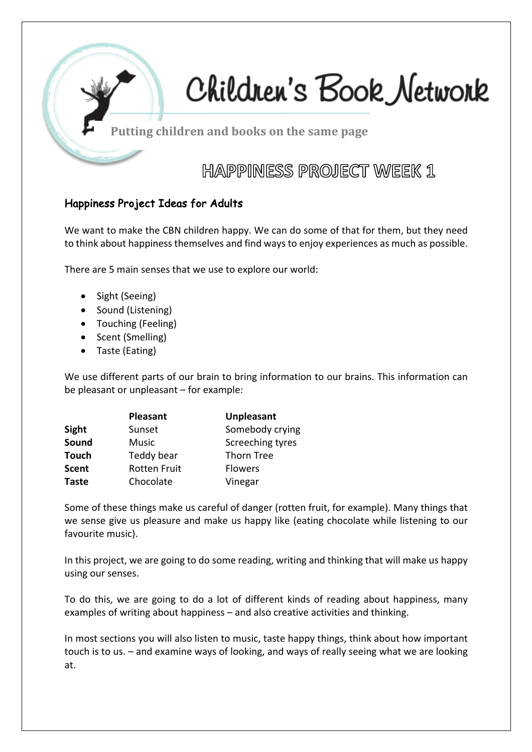

# Children's Book Network

Putting children and books on the same page

**HAPPINESS PROJECT WEEK 1** 

#### Happiness Project Ideas for Adults

We want to make the CBN children happy. We can do some of that for them, but they need to think about happiness themselves and find ways to enjoy experiences as much as possible.

There are 5 main senses that we use to explore our world:

- Sight (Seeing)
- Sound (Listening)
- Touching (Feeling)
- Scent (Smelling)
- Taste (Eating)

We use different parts of our brain to bring information to our brains. This information can be pleasant or unpleasant – for example:

|              | <b>Pleasant</b>     | <b>Unpleasant</b> |
|--------------|---------------------|-------------------|
| Sight        | Sunset              | Somebody crying   |
| Sound        | Music               | Screeching tyres  |
| <b>Touch</b> | Teddy bear          | Thorn Tree        |
| Scent        | <b>Rotten Fruit</b> | <b>Flowers</b>    |
| <b>Taste</b> | Chocolate           | Vinegar           |

Some of these things make us careful of danger (rotten fruit, for example). Many things that we sense give us pleasure and make us happy like (eating chocolate while listening to our favourite music).

In this project, we are going to do some reading, writing and thinking that will make us happy using our senses.

To do this, we are going to do a lot of different kinds of reading about happiness, many examples of writing about happiness – and also creative activities and thinking.

In most sections you will also listen to music, taste happy things, think about how important touch is to us. – and examine ways of looking, and ways of really seeing what we are looking at.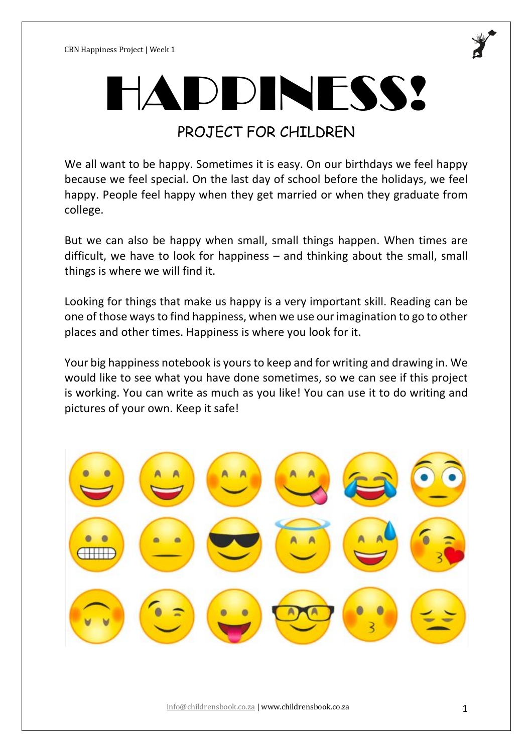

# HAPPINESS!

# PROJECT FOR CHILDREN

We all want to be happy. Sometimes it is easy. On our birthdays we feel happy because we feel special. On the last day of school before the holidays, we feel happy. People feel happy when they get married or when they graduate from college.

But we can also be happy when small, small things happen. When times are difficult, we have to look for happiness – and thinking about the small, small things is where we will find it.

Looking for things that make us happy is a very important skill. Reading can be one of those ways to find happiness, when we use our imagination to go to other places and other times. Happiness is where you look for it.

Your big happiness notebook is yours to keep and for writing and drawing in. We would like to see what you have done sometimes, so we can see if this project is working. You can write as much as you like! You can use it to do writing and pictures of your own. Keep it safe!

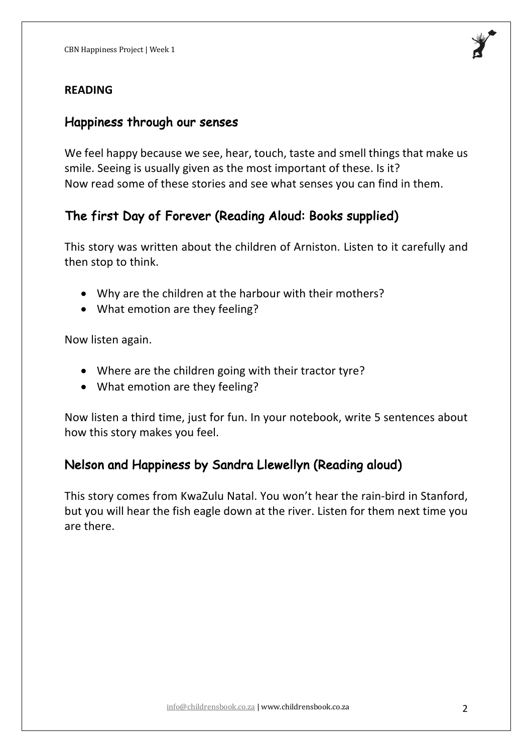#### **READING**

#### Happiness through our senses

We feel happy because we see, hear, touch, taste and smell things that make us smile. Seeing is usually given as the most important of these. Is it? Now read some of these stories and see what senses you can find in them.

## The first Day of Forever (Reading Aloud: Books supplied)

This story was written about the children of Arniston. Listen to it carefully and then stop to think.

- Why are the children at the harbour with their mothers?
- What emotion are they feeling?

Now listen again.

- Where are the children going with their tractor tyre?
- What emotion are they feeling?

Now listen a third time, just for fun. In your notebook, write 5 sentences about how this story makes you feel.

# Nelson and Happiness by Sandra Llewellyn (Reading aloud)

This story comes from KwaZulu Natal. You won't hear the rain-bird in Stanford, but you will hear the fish eagle down at the river. Listen for them next time you are there.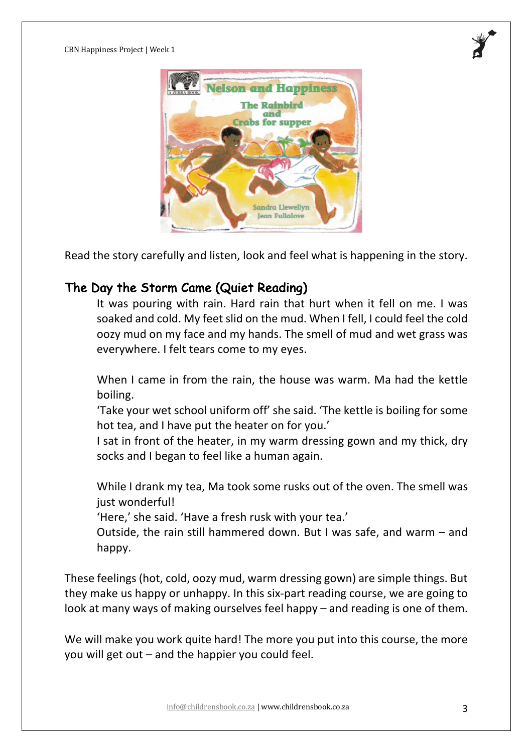

Read the story carefully and listen, look and feel what is happening in the story.

## The Day the Storm Came (Quiet Reading)

It was pouring with rain. Hard rain that hurt when it fell on me. I was soaked and cold. My feet slid on the mud. When I fell, I could feel the cold oozy mud on my face and my hands. The smell of mud and wet grass was everywhere. I felt tears come to my eyes.

When I came in from the rain, the house was warm. Ma had the kettle boiling.

'Take your wet school uniform off' she said. 'The kettle is boiling for some hot tea, and I have put the heater on for you.'

I sat in front of the heater, in my warm dressing gown and my thick, dry socks and I began to feel like a human again.

While I drank my tea, Ma took some rusks out of the oven. The smell was just wonderful!

'Here,' she said. 'Have a fresh rusk with your tea.'

Outside, the rain still hammered down. But I was safe, and warm – and happy.

These feelings (hot, cold, oozy mud, warm dressing gown) are simple things. But they make us happy or unhappy. In this six-part reading course, we are going to look at many ways of making ourselves feel happy – and reading is one of them.

We will make you work quite hard! The more you put into this course, the more you will get out – and the happier you could feel.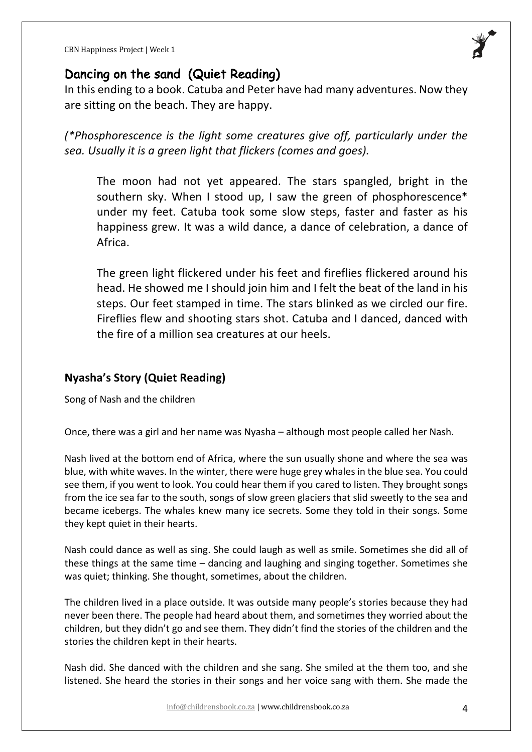

#### Dancing on the sand (Quiet Reading)

In this ending to a book. Catuba and Peter have had many adventures. Now they are sitting on the beach. They are happy.

*(\*Phosphorescence is the light some creatures give off, particularly under the sea. Usually it is a green light that flickers (comes and goes).* 

The moon had not yet appeared. The stars spangled, bright in the southern sky. When I stood up, I saw the green of phosphorescence\* under my feet. Catuba took some slow steps, faster and faster as his happiness grew. It was a wild dance, a dance of celebration, a dance of Africa.

The green light flickered under his feet and fireflies flickered around his head. He showed me I should join him and I felt the beat of the land in his steps. Our feet stamped in time. The stars blinked as we circled our fire. Fireflies flew and shooting stars shot. Catuba and I danced, danced with the fire of a million sea creatures at our heels.

#### **Nyasha's Story (Quiet Reading)**

Song of Nash and the children

Once, there was a girl and her name was Nyasha – although most people called her Nash.

Nash lived at the bottom end of Africa, where the sun usually shone and where the sea was blue, with white waves. In the winter, there were huge grey whales in the blue sea. You could see them, if you went to look. You could hear them if you cared to listen. They brought songs from the ice sea far to the south, songs of slow green glaciers that slid sweetly to the sea and became icebergs. The whales knew many ice secrets. Some they told in their songs. Some they kept quiet in their hearts.

Nash could dance as well as sing. She could laugh as well as smile. Sometimes she did all of these things at the same time – dancing and laughing and singing together. Sometimes she was quiet; thinking. She thought, sometimes, about the children.

The children lived in a place outside. It was outside many people's stories because they had never been there. The people had heard about them, and sometimes they worried about the children, but they didn't go and see them. They didn't find the stories of the children and the stories the children kept in their hearts.

Nash did. She danced with the children and she sang. She smiled at the them too, and she listened. She heard the stories in their songs and her voice sang with them. She made the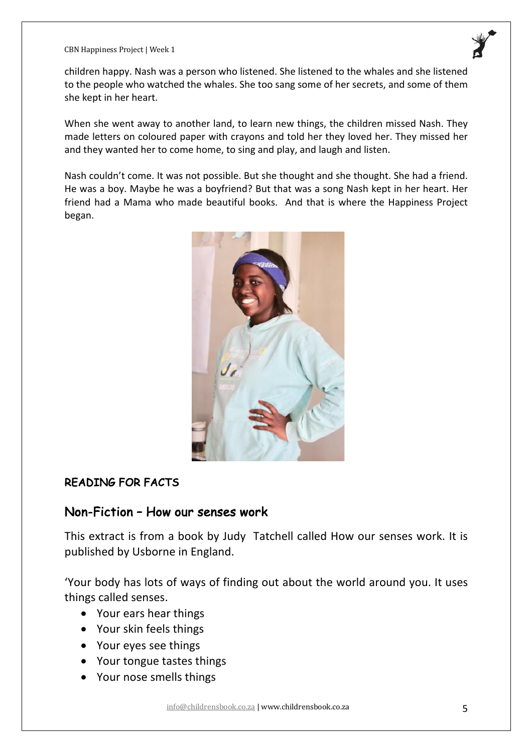CBN Happiness Project | Week 1

children happy. Nash was a person who listened. She listened to the whales and she listened to the people who watched the whales. She too sang some of her secrets, and some of them she kept in her heart.

When she went away to another land, to learn new things, the children missed Nash. They made letters on coloured paper with crayons and told her they loved her. They missed her and they wanted her to come home, to sing and play, and laugh and listen.

Nash couldn't come. It was not possible. But she thought and she thought. She had a friend. He was a boy. Maybe he was a boyfriend? But that was a song Nash kept in her heart. Her friend had a Mama who made beautiful books. And that is where the Happiness Project began.



#### READING FOR FACTS

#### Non-Fiction – How our senses work

This extract is from a book by Judy Tatchell called How our senses work. It is published by Usborne in England.

'Your body has lots of ways of finding out about the world around you. It uses things called senses.

- Your ears hear things
- Your skin feels things
- Your eyes see things
- Your tongue tastes things
- Your nose smells things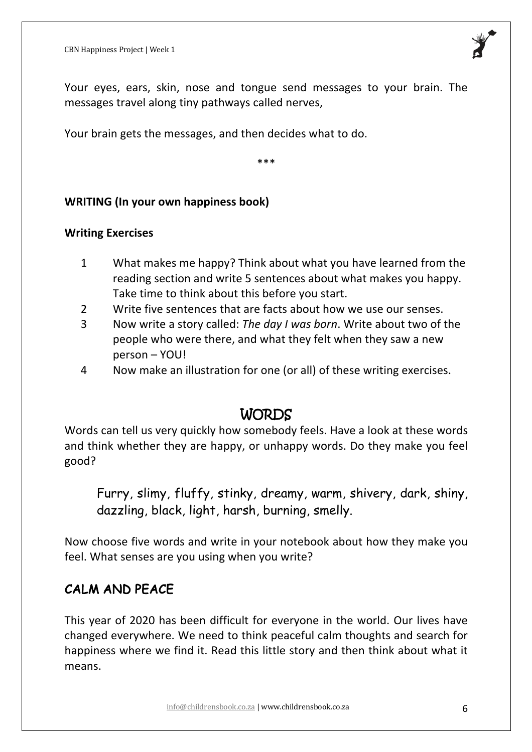

Your eyes, ears, skin, nose and tongue send messages to your brain. The messages travel along tiny pathways called nerves,

Your brain gets the messages, and then decides what to do.

\*\*\*

#### **WRITING (In your own happiness book)**

#### **Writing Exercises**

- 1 What makes me happy? Think about what you have learned from the reading section and write 5 sentences about what makes you happy. Take time to think about this before you start.
- 2 Write five sentences that are facts about how we use our senses.
- 3 Now write a story called: *The day I was born*. Write about two of the people who were there, and what they felt when they saw a new person – YOU!
- 4 Now make an illustration for one (or all) of these writing exercises.

# WORDS

Words can tell us very quickly how somebody feels. Have a look at these words and think whether they are happy, or unhappy words. Do they make you feel good?

Furry, slimy, fluffy, stinky, dreamy, warm, shivery, dark, shiny, dazzling, black, light, harsh, burning, smelly.

Now choose five words and write in your notebook about how they make you feel. What senses are you using when you write?

# CALM AND PEACE

This year of 2020 has been difficult for everyone in the world. Our lives have changed everywhere. We need to think peaceful calm thoughts and search for happiness where we find it. Read this little story and then think about what it means.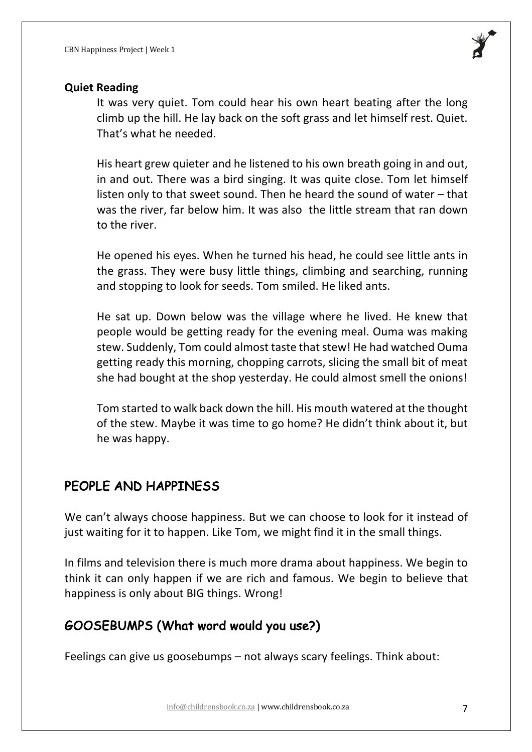

#### **Quiet Reading**

It was very quiet. Tom could hear his own heart beating after the long climb up the hill. He lay back on the soft grass and let himself rest. Quiet. That's what he needed.

His heart grew quieter and he listened to his own breath going in and out, in and out. There was a bird singing. It was quite close. Tom let himself listen only to that sweet sound. Then he heard the sound of water – that was the river, far below him. It was also the little stream that ran down to the river.

He opened his eyes. When he turned his head, he could see little ants in the grass. They were busy little things, climbing and searching, running and stopping to look for seeds. Tom smiled. He liked ants.

He sat up. Down below was the village where he lived. He knew that people would be getting ready for the evening meal. Ouma was making stew. Suddenly, Tom could almost taste that stew! He had watched Ouma getting ready this morning, chopping carrots, slicing the small bit of meat she had bought at the shop yesterday. He could almost smell the onions!

Tom started to walk back down the hill. His mouth watered at the thought of the stew. Maybe it was time to go home? He didn't think about it, but he was happy.

# PEOPLE AND HAPPINESS

We can't always choose happiness. But we can choose to look for it instead of just waiting for it to happen. Like Tom, we might find it in the small things.

In films and television there is much more drama about happiness. We begin to think it can only happen if we are rich and famous. We begin to believe that happiness is only about BIG things. Wrong!

# GOOSEBUMPS (What word would you use?)

Feelings can give us goosebumps – not always scary feelings. Think about: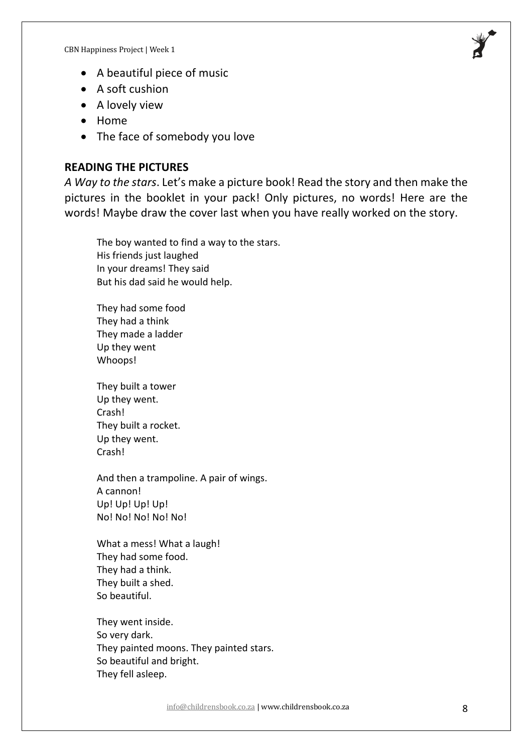

- A beautiful piece of music
- A soft cushion
- A lovely view
- Home
- The face of somebody you love

#### **READING THE PICTURES**

*A Way to the stars*. Let's make a picture book! Read the story and then make the pictures in the booklet in your pack! Only pictures, no words! Here are the words! Maybe draw the cover last when you have really worked on the story.

The boy wanted to find a way to the stars. His friends just laughed In your dreams! They said But his dad said he would help.

They had some food They had a think They made a ladder Up they went Whoops!

They built a tower Up they went. Crash! They built a rocket. Up they went. Crash!

And then a trampoline. A pair of wings. A cannon! Up! Up! Up! Up! No! No! No! No! No!

What a mess! What a laugh! They had some food. They had a think. They built a shed. So beautiful.

They went inside. So very dark. They painted moons. They painted stars. So beautiful and bright. They fell asleep.